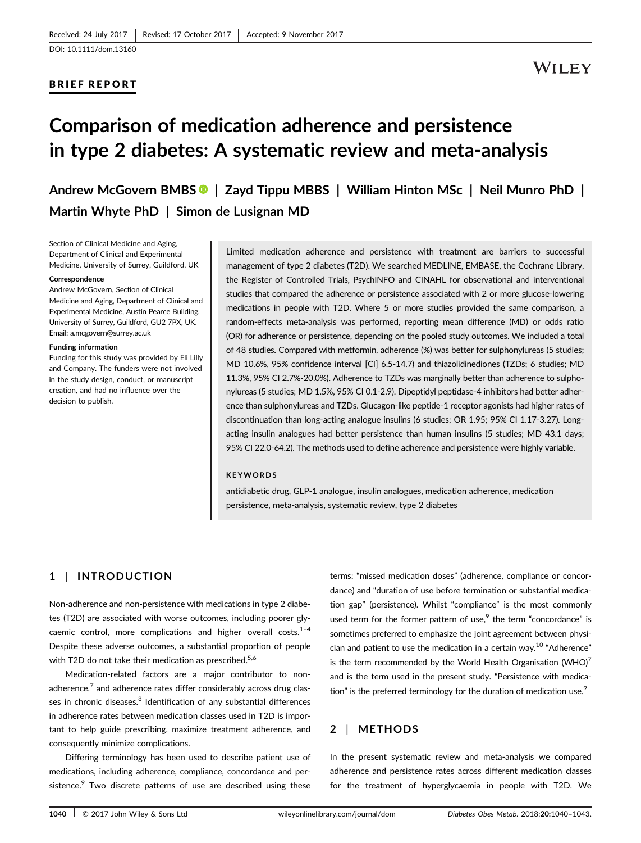### BRIEF REPORT

# Comparison of medication adherence and persistence in type 2 diabetes: A systematic review and meta-analysis

Andrew McGovern BMBS | Zayd Tippu MBBS | William Hinton MSc | Neil Munro PhD | Martin Whyte PhD | Simon de Lusignan MD

Section of Clinical Medicine and Aging, Department of Clinical and Experimental Medicine, University of Surrey, Guildford, UK

#### Correspondence

Andrew McGovern, Section of Clinical Medicine and Aging, Department of Clinical and Experimental Medicine, Austin Pearce Building, University of Surrey, Guildford, GU2 7PX, UK. Email: a.mcgovern@surrey.ac.uk

#### Funding information

Funding for this study was provided by Eli Lilly and Company. The funders were not involved in the study design, conduct, or manuscript creation, and had no influence over the decision to publish.

Limited medication adherence and persistence with treatment are barriers to successful management of type 2 diabetes (T2D). We searched MEDLINE, EMBASE, the Cochrane Library, the Register of Controlled Trials, PsychINFO and CINAHL for observational and interventional studies that compared the adherence or persistence associated with 2 or more glucose-lowering medications in people with T2D. Where 5 or more studies provided the same comparison, a random-effects meta-analysis was performed, reporting mean difference (MD) or odds ratio (OR) for adherence or persistence, depending on the pooled study outcomes. We included a total of 48 studies. Compared with metformin, adherence (%) was better for sulphonylureas (5 studies; MD 10.6%, 95% confidence interval [CI] 6.5-14.7) and thiazolidinediones (TZDs; 6 studies; MD 11.3%, 95% CI 2.7%-20.0%). Adherence to TZDs was marginally better than adherence to sulphonylureas (5 studies; MD 1.5%, 95% CI 0.1-2.9). Dipeptidyl peptidase-4 inhibitors had better adherence than sulphonylureas and TZDs. Glucagon-like peptide-1 receptor agonists had higher rates of discontinuation than long-acting analogue insulins (6 studies; OR 1.95; 95% CI 1.17-3.27). Longacting insulin analogues had better persistence than human insulins (5 studies; MD 43.1 days; 95% CI 22.0-64.2). The methods used to define adherence and persistence were highly variable.

#### KEYWORDS

antidiabetic drug, GLP-1 analogue, insulin analogues, medication adherence, medication persistence, meta-analysis, systematic review, type 2 diabetes

# 1 | INTRODUCTION

Non-adherence and non-persistence with medications in type 2 diabetes (T2D) are associated with worse outcomes, including poorer glycaemic control, more complications and higher overall costs. $1-4$ Despite these adverse outcomes, a substantial proportion of people with T2D do not take their medication as prescribed.<sup>5,6</sup>

Medication-related factors are a major contributor to nonadherence, $<sup>7</sup>$  and adherence rates differ considerably across drug clas-</sup> ses in chronic diseases.<sup>8</sup> Identification of any substantial differences in adherence rates between medication classes used in T2D is important to help guide prescribing, maximize treatment adherence, and consequently minimize complications.

Differing terminology has been used to describe patient use of medications, including adherence, compliance, concordance and persistence. $9$  Two discrete patterns of use are described using these

terms: "missed medication doses" (adherence, compliance or concordance) and "duration of use before termination or substantial medication gap" (persistence). Whilst "compliance" is the most commonly used term for the former pattern of use, $9$  the term "concordance" is sometimes preferred to emphasize the joint agreement between physician and patient to use the medication in a certain way.<sup>10</sup> "Adherence" is the term recommended by the World Health Organisation (WHO) $<sup>7</sup>$ </sup> and is the term used in the present study. "Persistence with medication" is the preferred terminology for the duration of medication use.<sup>9</sup>

# 2 | METHODS

In the present systematic review and meta-analysis we compared adherence and persistence rates across different medication classes for the treatment of hyperglycaemia in people with T2D. We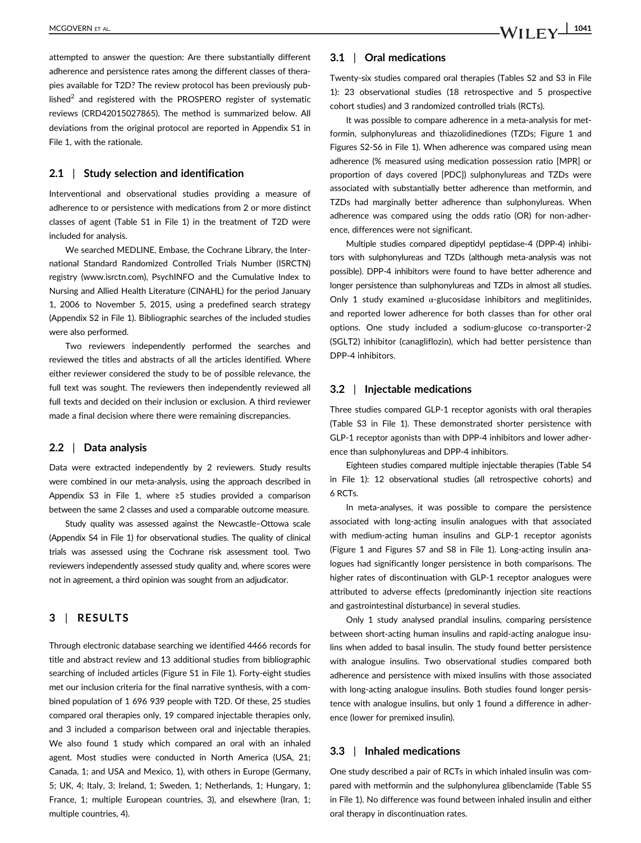attempted to answer the question: Are there substantially different adherence and persistence rates among the different classes of therapies available for T2D? The review protocol has been previously published<sup>2</sup> and registered with the PROSPERO register of systematic reviews (CRD42015027865). The method is summarized below. All deviations from the original protocol are reported in Appendix S1 in File 1, with the rationale.

#### 2.1 | Study selection and identification

Interventional and observational studies providing a measure of adherence to or persistence with medications from 2 or more distinct classes of agent (Table S1 in File 1) in the treatment of T2D were included for analysis.

We searched MEDLINE, Embase, the Cochrane Library, the International Standard Randomized Controlled Trials Number (ISRCTN) registry [\(www.isrctn.com\)](http://www.isrctn.com), PsychINFO and the Cumulative Index to Nursing and Allied Health Literature (CINAHL) for the period January 1, 2006 to November 5, 2015, using a predefined search strategy (Appendix S2 in File 1). Bibliographic searches of the included studies were also performed.

Two reviewers independently performed the searches and reviewed the titles and abstracts of all the articles identified. Where either reviewer considered the study to be of possible relevance, the full text was sought. The reviewers then independently reviewed all full texts and decided on their inclusion or exclusion. A third reviewer made a final decision where there were remaining discrepancies.

#### 2.2 | Data analysis

Data were extracted independently by 2 reviewers. Study results were combined in our meta-analysis, using the approach described in Appendix S3 in File 1, where ≥5 studies provided a comparison between the same 2 classes and used a comparable outcome measure.

Study quality was assessed against the Newcastle–Ottowa scale (Appendix S4 in File 1) for observational studies. The quality of clinical trials was assessed using the Cochrane risk assessment tool. Two reviewers independently assessed study quality and, where scores were not in agreement, a third opinion was sought from an adjudicator.

#### 3 | RESULTS

Through electronic database searching we identified 4466 records for title and abstract review and 13 additional studies from bibliographic searching of included articles (Figure S1 in File 1). Forty-eight studies met our inclusion criteria for the final narrative synthesis, with a combined population of 1 696 939 people with T2D. Of these, 25 studies compared oral therapies only, 19 compared injectable therapies only, and 3 included a comparison between oral and injectable therapies. We also found 1 study which compared an oral with an inhaled agent. Most studies were conducted in North America (USA, 21; Canada, 1; and USA and Mexico, 1), with others in Europe (Germany, 5; UK, 4; Italy, 3; Ireland, 1; Sweden, 1; Netherlands, 1; Hungary, 1; France, 1; multiple European countries, 3), and elsewhere (Iran, 1; multiple countries, 4).

#### 3.1 | Oral medications

Twenty-six studies compared oral therapies (Tables S2 and S3 in File 1): 23 observational studies (18 retrospective and 5 prospective cohort studies) and 3 randomized controlled trials (RCTs).

It was possible to compare adherence in a meta-analysis for metformin, sulphonylureas and thiazolidinediones (TZDs; Figure 1 and Figures S2-S6 in File 1). When adherence was compared using mean adherence (% measured using medication possession ratio [MPR] or proportion of days covered [PDC]) sulphonylureas and TZDs were associated with substantially better adherence than metformin, and TZDs had marginally better adherence than sulphonylureas. When adherence was compared using the odds ratio (OR) for non-adherence, differences were not significant.

Multiple studies compared dipeptidyl peptidase-4 (DPP-4) inhibitors with sulphonylureas and TZDs (although meta-analysis was not possible). DPP-4 inhibitors were found to have better adherence and longer persistence than sulphonylureas and TZDs in almost all studies. Only 1 study examined  $\alpha$ -glucosidase inhibitors and meglitinides, and reported lower adherence for both classes than for other oral options. One study included a sodium-glucose co-transporter-2 (SGLT2) inhibitor (canagliflozin), which had better persistence than DPP-4 inhibitors.

#### 3.2 | Injectable medications

Three studies compared GLP-1 receptor agonists with oral therapies (Table S3 in File 1). These demonstrated shorter persistence with GLP-1 receptor agonists than with DPP-4 inhibitors and lower adherence than sulphonylureas and DPP-4 inhibitors.

Eighteen studies compared multiple injectable therapies (Table S4 in File 1): 12 observational studies (all retrospective cohorts) and 6 RCTs.

In meta-analyses, it was possible to compare the persistence associated with long-acting insulin analogues with that associated with medium-acting human insulins and GLP-1 receptor agonists (Figure 1 and Figures S7 and S8 in File 1). Long-acting insulin analogues had significantly longer persistence in both comparisons. The higher rates of discontinuation with GLP-1 receptor analogues were attributed to adverse effects (predominantly injection site reactions and gastrointestinal disturbance) in several studies.

Only 1 study analysed prandial insulins, comparing persistence between short-acting human insulins and rapid-acting analogue insulins when added to basal insulin. The study found better persistence with analogue insulins. Two observational studies compared both adherence and persistence with mixed insulins with those associated with long-acting analogue insulins. Both studies found longer persistence with analogue insulins, but only 1 found a difference in adherence (lower for premixed insulin).

#### 3.3 | Inhaled medications

One study described a pair of RCTs in which inhaled insulin was compared with metformin and the sulphonylurea glibenclamide (Table S5 in File 1). No difference was found between inhaled insulin and either oral therapy in discontinuation rates.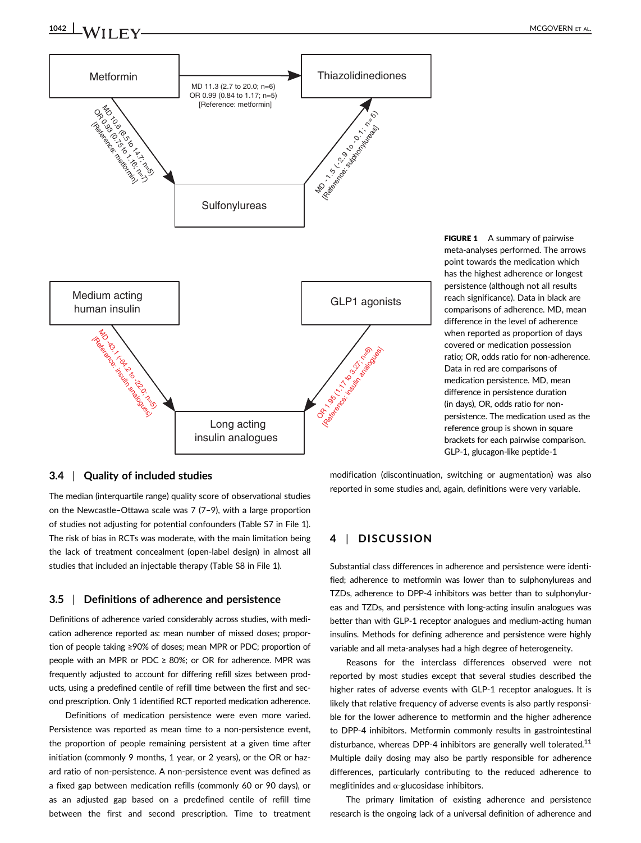

FIGURE 1 A summary of pairwise meta-analyses performed. The arrows point towards the medication which has the highest adherence or longest persistence (although not all results reach significance). Data in black are comparisons of adherence. MD, mean difference in the level of adherence when reported as proportion of days covered or medication possession ratio; OR, odds ratio for non-adherence. Data in red are comparisons of medication persistence. MD, mean difference in persistence duration (in days), OR, odds ratio for nonpersistence. The medication used as the reference group is shown in square brackets for each pairwise comparison. GLP-1, glucagon-like peptide-1

#### 3.4 | Quality of included studies

The median (interquartile range) quality score of observational studies on the Newcastle–Ottawa scale was 7 (7–9), with a large proportion of studies not adjusting for potential confounders (Table S7 in File 1). The risk of bias in RCTs was moderate, with the main limitation being the lack of treatment concealment (open-label design) in almost all studies that included an injectable therapy (Table S8 in File 1).

### 3.5 | Definitions of adherence and persistence

Definitions of adherence varied considerably across studies, with medication adherence reported as: mean number of missed doses; proportion of people taking ≥90% of doses; mean MPR or PDC; proportion of people with an MPR or PDC  $\geq$  80%; or OR for adherence. MPR was frequently adjusted to account for differing refill sizes between products, using a predefined centile of refill time between the first and second prescription. Only 1 identified RCT reported medication adherence.

Definitions of medication persistence were even more varied. Persistence was reported as mean time to a non-persistence event, the proportion of people remaining persistent at a given time after initiation (commonly 9 months, 1 year, or 2 years), or the OR or hazard ratio of non-persistence. A non-persistence event was defined as a fixed gap between medication refills (commonly 60 or 90 days), or as an adjusted gap based on a predefined centile of refill time between the first and second prescription. Time to treatment modification (discontinuation, switching or augmentation) was also reported in some studies and, again, definitions were very variable.

## 4 | DISCUSSION

Substantial class differences in adherence and persistence were identified; adherence to metformin was lower than to sulphonylureas and TZDs, adherence to DPP-4 inhibitors was better than to sulphonylureas and TZDs, and persistence with long-acting insulin analogues was better than with GLP-1 receptor analogues and medium-acting human insulins. Methods for defining adherence and persistence were highly variable and all meta-analyses had a high degree of heterogeneity.

Reasons for the interclass differences observed were not reported by most studies except that several studies described the higher rates of adverse events with GLP-1 receptor analogues. It is likely that relative frequency of adverse events is also partly responsible for the lower adherence to metformin and the higher adherence to DPP-4 inhibitors. Metformin commonly results in gastrointestinal disturbance, whereas DPP-4 inhibitors are generally well tolerated. $11$ Multiple daily dosing may also be partly responsible for adherence differences, particularly contributing to the reduced adherence to meglitinides and  $\alpha$ -glucosidase inhibitors.

The primary limitation of existing adherence and persistence research is the ongoing lack of a universal definition of adherence and